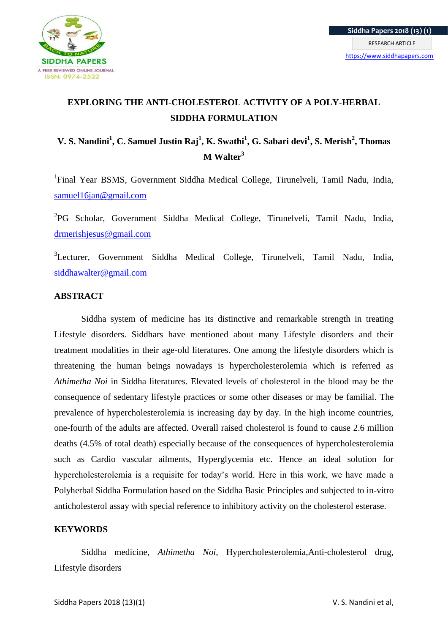

# **EXPLORING THE ANTI-CHOLESTEROL ACTIVITY OF A POLY-HERBAL SIDDHA FORMULATION**

# **V. S. Nandini<sup>1</sup> , C. Samuel Justin Raj<sup>1</sup> , K. Swathi<sup>1</sup> , G. Sabari devi<sup>1</sup> , S. Merish<sup>2</sup> , Thomas M Walter<sup>3</sup>**

<sup>1</sup>Final Year BSMS, Government Siddha Medical College, Tirunelveli, Tamil Nadu, India, [samuel16jan@gmail.com](mailto:samuel16jan@gmail.com)

<sup>2</sup>PG Scholar, Government Siddha Medical College, Tirunelveli, Tamil Nadu, India, [drmerishjesus@gmail.com](mailto:drmerishjesus@gmail.com)

<sup>3</sup>Lecturer, Government Siddha Medical College, Tirunelveli, Tamil Nadu, India, [siddhawalter@gmail.com](mailto:siddhawalter@gmail.com)

# **ABSTRACT**

Siddha system of medicine has its distinctive and remarkable strength in treating Lifestyle disorders. Siddhars have mentioned about many Lifestyle disorders and their treatment modalities in their age-old literatures. One among the lifestyle disorders which is threatening the human beings nowadays is hypercholesterolemia which is referred as *Athimetha Noi* in Siddha literatures. Elevated levels of cholesterol in the blood may be the consequence of sedentary lifestyle practices or some other diseases or may be familial. The prevalence of hypercholesterolemia is increasing day by day. In the high income countries, one-fourth of the adults are affected. Overall raised cholesterol is found to cause 2.6 million deaths (4.5% of total death) especially because of the consequences of hypercholesterolemia such as Cardio vascular ailments, Hyperglycemia etc. Hence an ideal solution for hypercholesterolemia is a requisite for today's world. Here in this work, we have made a Polyherbal Siddha Formulation based on the Siddha Basic Principles and subjected to in-vitro anticholesterol assay with special reference to inhibitory activity on the cholesterol esterase.

## **KEYWORDS**

Siddha medicine, *Athimetha Noi,* Hypercholesterolemia,Anti-cholesterol drug, Lifestyle disorders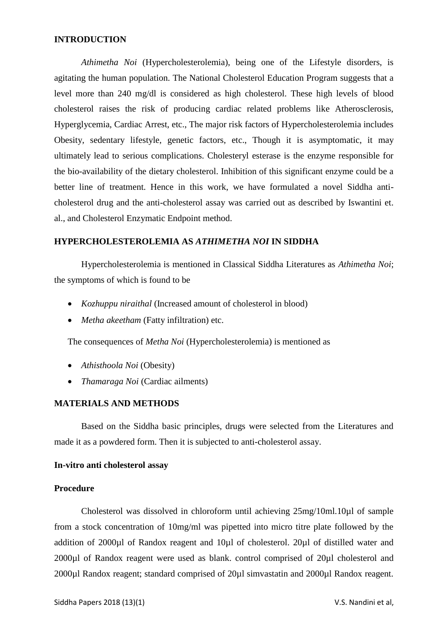## **INTRODUCTION**

*Athimetha Noi* (Hypercholesterolemia), being one of the Lifestyle disorders, is agitating the human population. The National Cholesterol Education Program suggests that a level more than 240 mg/dl is considered as high cholesterol. These high levels of blood cholesterol raises the risk of producing cardiac related problems like Atherosclerosis, Hyperglycemia, Cardiac Arrest, etc., The major risk factors of Hypercholesterolemia includes Obesity, sedentary lifestyle, genetic factors, etc., Though it is asymptomatic, it may ultimately lead to serious complications. Cholesteryl esterase is the enzyme responsible for the bio-availability of the dietary cholesterol. Inhibition of this significant enzyme could be a better line of treatment. Hence in this work, we have formulated a novel Siddha anticholesterol drug and the anti-cholesterol assay was carried out as described by Iswantini et. al., and Cholesterol Enzymatic Endpoint method.

#### **HYPERCHOLESTEROLEMIA AS** *ATHIMETHA NOI* **IN SIDDHA**

Hypercholesterolemia is mentioned in Classical Siddha Literatures as *Athimetha Noi*; the symptoms of which is found to be

- *Kozhuppu niraithal* (Increased amount of cholesterol in blood)
- *Metha akeetham* (Fatty infiltration) etc.

The consequences of *Metha Noi* (Hypercholesterolemia) is mentioned as

- *Athisthoola Noi* (Obesity)
- *Thamaraga Noi* (Cardiac ailments)

### **MATERIALS AND METHODS**

Based on the Siddha basic principles, drugs were selected from the Literatures and made it as a powdered form. Then it is subjected to anti-cholesterol assay.

#### **In-vitro anti cholesterol assay**

#### **Procedure**

Cholesterol was dissolved in chloroform until achieving 25mg/10ml.10µl of sample from a stock concentration of 10mg/ml was pipetted into micro titre plate followed by the addition of 2000µl of Randox reagent and 10µl of cholesterol. 20µl of distilled water and 2000µl of Randox reagent were used as blank. control comprised of 20µl cholesterol and 2000µl Randox reagent; standard comprised of 20µl simvastatin and 2000µl Randox reagent.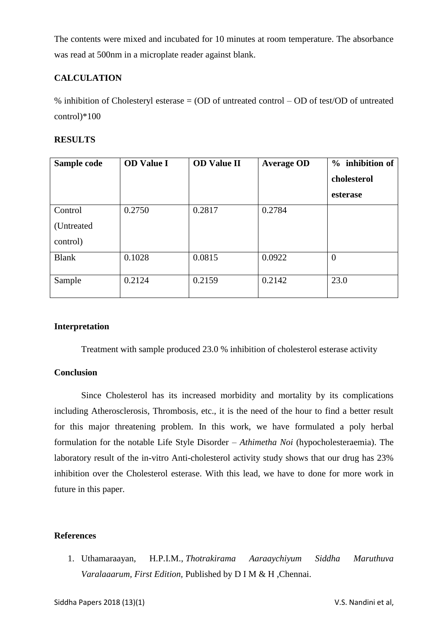The contents were mixed and incubated for 10 minutes at room temperature. The absorbance was read at 500nm in a microplate reader against blank.

# **CALCULATION**

% inhibition of Cholesteryl esterase = (OD of untreated control – OD of test/OD of untreated control)\*100

# **RESULTS**

| Sample code  | <b>OD</b> Value I | <b>OD Value II</b> | <b>Average OD</b> | % inhibition of |
|--------------|-------------------|--------------------|-------------------|-----------------|
|              |                   |                    |                   | cholesterol     |
|              |                   |                    |                   | esterase        |
| Control      | 0.2750            | 0.2817             | 0.2784            |                 |
| (Untreated)  |                   |                    |                   |                 |
| control)     |                   |                    |                   |                 |
| <b>Blank</b> | 0.1028            | 0.0815             | 0.0922            | $\theta$        |
| Sample       | 0.2124            | 0.2159             | 0.2142            | 23.0            |

# **Interpretation**

Treatment with sample produced 23.0 % inhibition of cholesterol esterase activity

## **Conclusion**

Since Cholesterol has its increased morbidity and mortality by its complications including Atherosclerosis, Thrombosis, etc., it is the need of the hour to find a better result for this major threatening problem. In this work, we have formulated a poly herbal formulation for the notable Life Style Disorder – *Athimetha Noi* (hypocholesteraemia). The laboratory result of the in-vitro Anti-cholesterol activity study shows that our drug has 23% inhibition over the Cholesterol esterase. With this lead, we have to done for more work in future in this paper.

# **References**

1. Uthamaraayan, H.P.I.M., *Thotrakirama Aaraaychiyum Siddha Maruthuva Varalaaarum, First Edition,* Published by D I M & H ,Chennai.